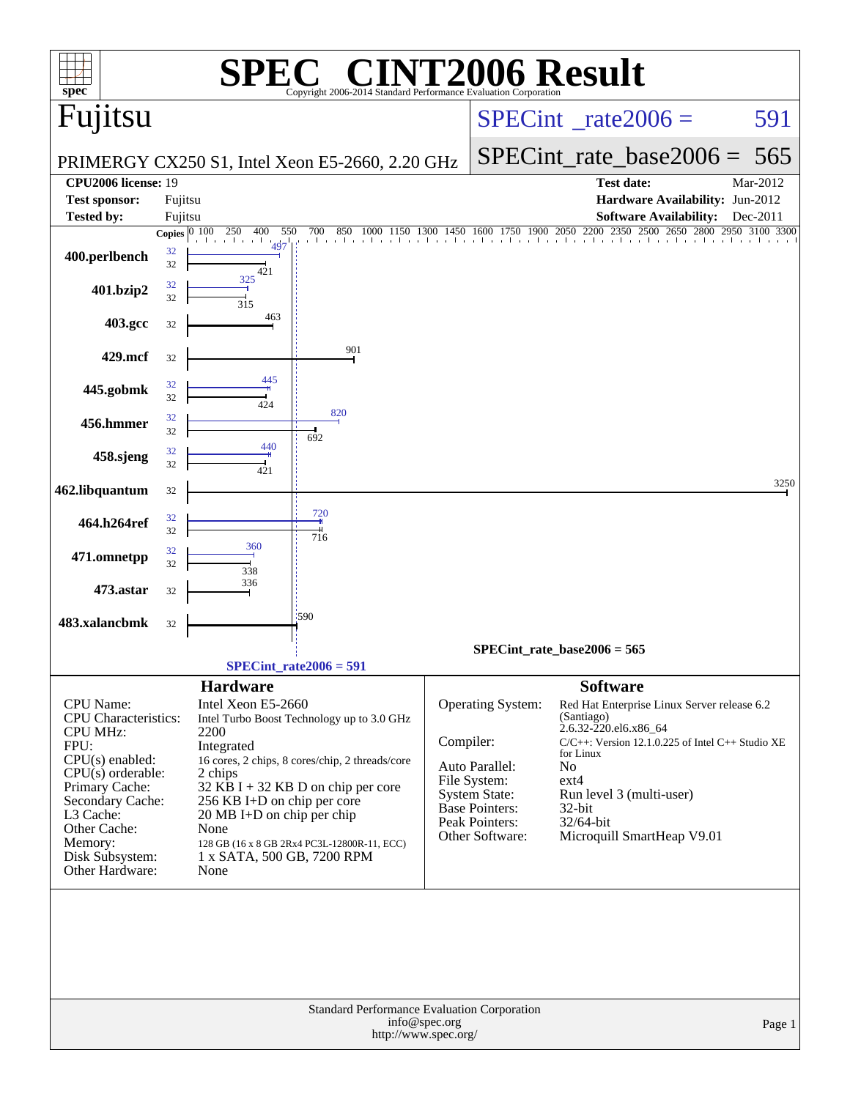| spec                                  |                 |                                    | <b>C® CINT2006 Result</b><br>Copyright 2006-2014 Standard Performance Ey             |              |                                                   |                                                       |          |
|---------------------------------------|-----------------|------------------------------------|--------------------------------------------------------------------------------------|--------------|---------------------------------------------------|-------------------------------------------------------|----------|
| Fujitsu                               |                 |                                    |                                                                                      |              |                                                   | $SPECint^{\circ}$ rate $2006 =$                       | 591      |
|                                       |                 |                                    | PRIMERGY CX250 S1, Intel Xeon E5-2660, 2.20 GHz                                      |              |                                                   | $SPECint_rate\_base2006 =$                            | 565      |
| <b>CPU2006 license: 19</b>            |                 |                                    |                                                                                      |              |                                                   | <b>Test date:</b>                                     | Mar-2012 |
| <b>Test sponsor:</b>                  | Fujitsu         |                                    |                                                                                      |              |                                                   | Hardware Availability: Jun-2012                       |          |
| <b>Tested by:</b>                     | Fujitsu         |                                    |                                                                                      |              |                                                   | <b>Software Availability:</b>                         | Dec-2011 |
|                                       | Copies $ 0 100$ | 250<br>400<br>550                  | 700<br>850<br>1000                                                                   | 1450<br>1300 | 1600 1750 1900 2050 2200<br>and and and and and a | 2500<br>2350<br>2800<br>2650<br>2950                  |          |
| 400.perlbench                         | 32<br>32        | 497<br>421                         |                                                                                      |              |                                                   |                                                       |          |
| 401.bzip2                             | 32<br>32        | 325<br>315                         |                                                                                      |              |                                                   |                                                       |          |
| 403.gcc                               | 32              | 463                                |                                                                                      |              |                                                   |                                                       |          |
| 429.mcf                               | 32              |                                    | 901                                                                                  |              |                                                   |                                                       |          |
| 445.gobmk                             | 32<br>32        | 445                                |                                                                                      |              |                                                   |                                                       |          |
| 456.hmmer                             | 32<br>32        | 424                                | 820                                                                                  |              |                                                   |                                                       |          |
| 458.sjeng                             | 32<br>32        | 440                                | 692                                                                                  |              |                                                   |                                                       |          |
| 462.libquantum                        | 32              | 421                                |                                                                                      |              |                                                   |                                                       | 3250     |
| 464.h264ref                           | 32<br>32        |                                    | 720                                                                                  |              |                                                   |                                                       |          |
| 471.omnetpp                           | 32              | 360                                | 716                                                                                  |              |                                                   |                                                       |          |
| 473.astar                             | 32<br>32        | 338<br>336                         |                                                                                      |              |                                                   |                                                       |          |
| 483.xalancbmk                         | 32              |                                    | :590                                                                                 |              |                                                   |                                                       |          |
|                                       |                 |                                    |                                                                                      |              |                                                   | SPECint rate base $2006 = 565$                        |          |
|                                       |                 |                                    | SPECint rate $2006 = 591$                                                            |              |                                                   |                                                       |          |
|                                       |                 | <b>Hardware</b>                    |                                                                                      |              |                                                   | <b>Software</b>                                       |          |
| CPU Name:                             |                 | Intel Xeon E5-2660                 |                                                                                      |              | Operating System:                                 | Red Hat Enterprise Linux Server release 6.2           |          |
| <b>CPU</b> Characteristics:           |                 |                                    | Intel Turbo Boost Technology up to 3.0 GHz                                           |              |                                                   | (Santiago)<br>2.6.32-220.el6.x86_64                   |          |
| <b>CPU MHz:</b><br>FPU:               |                 | 2200<br>Integrated                 |                                                                                      | Compiler:    |                                                   | $C/C++$ : Version 12.1.0.225 of Intel $C++$ Studio XE |          |
| $CPU(s)$ enabled:                     |                 |                                    | 16 cores, 2 chips, 8 cores/chip, 2 threads/core                                      |              | Auto Parallel:                                    | for Linux<br>N <sub>o</sub>                           |          |
| $CPU(s)$ orderable:<br>Primary Cache: |                 | 2 chips                            | $32$ KB I + 32 KB D on chip per core                                                 |              | File System:                                      | $ext{4}$                                              |          |
| Secondary Cache:                      |                 | 256 KB I+D on chip per core        |                                                                                      |              | <b>System State:</b><br>Base Pointers:            | Run level 3 (multi-user)<br>32-bit                    |          |
| L3 Cache:<br>Other Cache:             |                 | 20 MB I+D on chip per chip<br>None |                                                                                      |              | Peak Pointers:                                    | 32/64-bit                                             |          |
| Memory:                               |                 |                                    | 128 GB (16 x 8 GB 2Rx4 PC3L-12800R-11, ECC)                                          |              | Other Software:                                   | Microquill SmartHeap V9.01                            |          |
| Disk Subsystem:                       |                 | 1 x SATA, 500 GB, 7200 RPM         |                                                                                      |              |                                                   |                                                       |          |
| Other Hardware:                       |                 | None                               |                                                                                      |              |                                                   |                                                       |          |
|                                       |                 |                                    |                                                                                      |              |                                                   |                                                       |          |
|                                       |                 |                                    | Standard Performance Evaluation Corporation<br>info@spec.org<br>http://www.spec.org/ |              |                                                   |                                                       | Page 1   |
|                                       |                 |                                    |                                                                                      |              |                                                   |                                                       |          |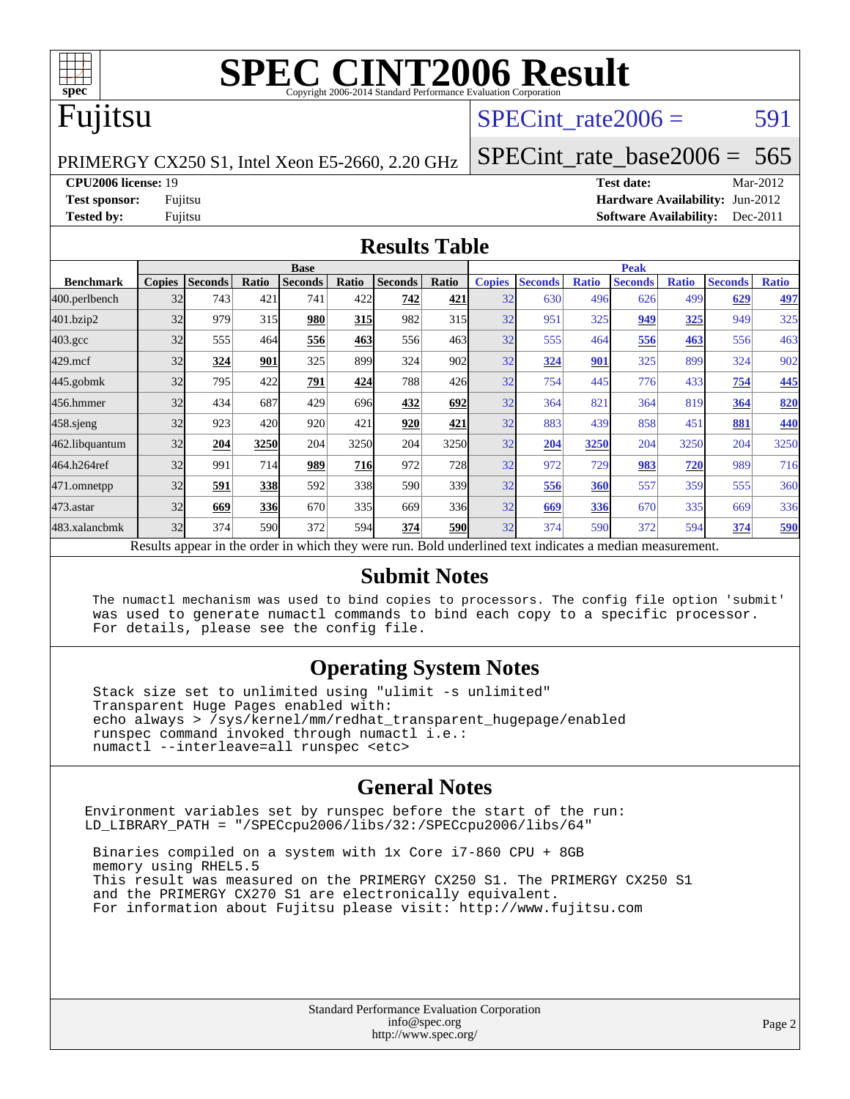

#### Fujitsu

#### SPECint rate $2006 = 591$

PRIMERGY CX250 S1, Intel Xeon E5-2660, 2.20 GHz

[SPECint\\_rate\\_base2006 =](http://www.spec.org/auto/cpu2006/Docs/result-fields.html#SPECintratebase2006) 565

**[CPU2006 license:](http://www.spec.org/auto/cpu2006/Docs/result-fields.html#CPU2006license)** 19 **[Test date:](http://www.spec.org/auto/cpu2006/Docs/result-fields.html#Testdate)** Mar-2012

**[Test sponsor:](http://www.spec.org/auto/cpu2006/Docs/result-fields.html#Testsponsor)** Fujitsu **[Hardware Availability:](http://www.spec.org/auto/cpu2006/Docs/result-fields.html#HardwareAvailability)** Jun-2012 **[Tested by:](http://www.spec.org/auto/cpu2006/Docs/result-fields.html#Testedby)** Fujitsu **[Software Availability:](http://www.spec.org/auto/cpu2006/Docs/result-fields.html#SoftwareAvailability)** Dec-2011

#### **[Results Table](http://www.spec.org/auto/cpu2006/Docs/result-fields.html#ResultsTable)**

|                                                                                                          | <b>Base</b>   |                |            |                |            | <b>Peak</b>    |            |               |                |              |                |              |                |              |
|----------------------------------------------------------------------------------------------------------|---------------|----------------|------------|----------------|------------|----------------|------------|---------------|----------------|--------------|----------------|--------------|----------------|--------------|
| <b>Benchmark</b>                                                                                         | <b>Copies</b> | <b>Seconds</b> | Ratio      | <b>Seconds</b> | Ratio      | <b>Seconds</b> | Ratio      | <b>Copies</b> | <b>Seconds</b> | <b>Ratio</b> | <b>Seconds</b> | <b>Ratio</b> | <b>Seconds</b> | <b>Ratio</b> |
| 400.perlbench                                                                                            | 32            | 743            | 421        | 741            | 422        | 742            | 421        | 32            | 630            | 496          | 626            | 499          | 629            | 497          |
| 401.bzip2                                                                                                | 32            | 979            | 315        | 980            | <u>315</u> | 982            | 315        | 32            | 951            | 325          | 949            | 325          | 949            | 325          |
| $403.\mathrm{gcc}$                                                                                       | 32            | 555            | 464        | 556            | 463        | 556            | 463        | 32            | 555            | 464          | 556            | 463          | 556            | 463          |
| $429$ .mcf                                                                                               | 32            | 324            | 901        | 325            | 899        | 324            | 902        | 32            | 324            | 901          | 325            | 899          | 324            | 902          |
| $445$ .gobmk                                                                                             | 32            | 795            | 422        | 791            | 424        | 788            | 426        | 32            | 754            | 445          | 776            | 433          | 754            | 445          |
| 456.hmmer                                                                                                | 32            | 434            | 687        | 429            | 696        | 432            | 692        | 32            | 364            | 821          | 364            | 819          | 364            | 820          |
| $458$ .sjeng                                                                                             | 32            | 923            | 420        | 920            | 421        | 920            | 421        | 32            | 883            | 439          | 858            | 451          | 881            | 440          |
| 462.libquantum                                                                                           | 32            | 204            | 3250       | 204            | 3250       | 204            | 3250       | 32            | 204            | 3250         | 204            | 3250         | 204            | 3250         |
| 464.h264ref                                                                                              | 32            | 991            | 714        | 989            | <b>716</b> | 972            | 728        | 32            | 972            | 729          | 983            | 720          | 989            | 716          |
| 471.omnetpp                                                                                              | 32            | 591            | <b>338</b> | 592            | 338        | 590            | 339        | 32            | 556            | 360          | 557            | 359          | 555            | 360          |
| 473.astar                                                                                                | 32            | 669            | <b>336</b> | 670            | 335        | 669            | 336        | 32            | 669            | 336          | 670            | 335          | 669            | 336          |
| 483.xalancbmk                                                                                            | 32            | 374            | 590        | 372            | 594        | 374            | <b>590</b> | 32            | 374            | 590          | 372            | 594          | 374            | 590          |
| Results appear in the order in which they were run. Bold underlined text indicates a median measurement. |               |                |            |                |            |                |            |               |                |              |                |              |                |              |

#### **[Submit Notes](http://www.spec.org/auto/cpu2006/Docs/result-fields.html#SubmitNotes)**

 The numactl mechanism was used to bind copies to processors. The config file option 'submit' was used to generate numactl commands to bind each copy to a specific processor. For details, please see the config file.

#### **[Operating System Notes](http://www.spec.org/auto/cpu2006/Docs/result-fields.html#OperatingSystemNotes)**

 Stack size set to unlimited using "ulimit -s unlimited" Transparent Huge Pages enabled with: echo always > /sys/kernel/mm/redhat\_transparent\_hugepage/enabled runspec command invoked through numactl i.e.: numactl --interleave=all runspec <etc>

#### **[General Notes](http://www.spec.org/auto/cpu2006/Docs/result-fields.html#GeneralNotes)**

Environment variables set by runspec before the start of the run: LD\_LIBRARY\_PATH = "/SPECcpu2006/libs/32:/SPECcpu2006/libs/64"

 Binaries compiled on a system with 1x Core i7-860 CPU + 8GB memory using RHEL5.5 This result was measured on the PRIMERGY CX250 S1. The PRIMERGY CX250 S1 and the PRIMERGY CX270 S1 are electronically equivalent. For information about Fujitsu please visit: <http://www.fujitsu.com>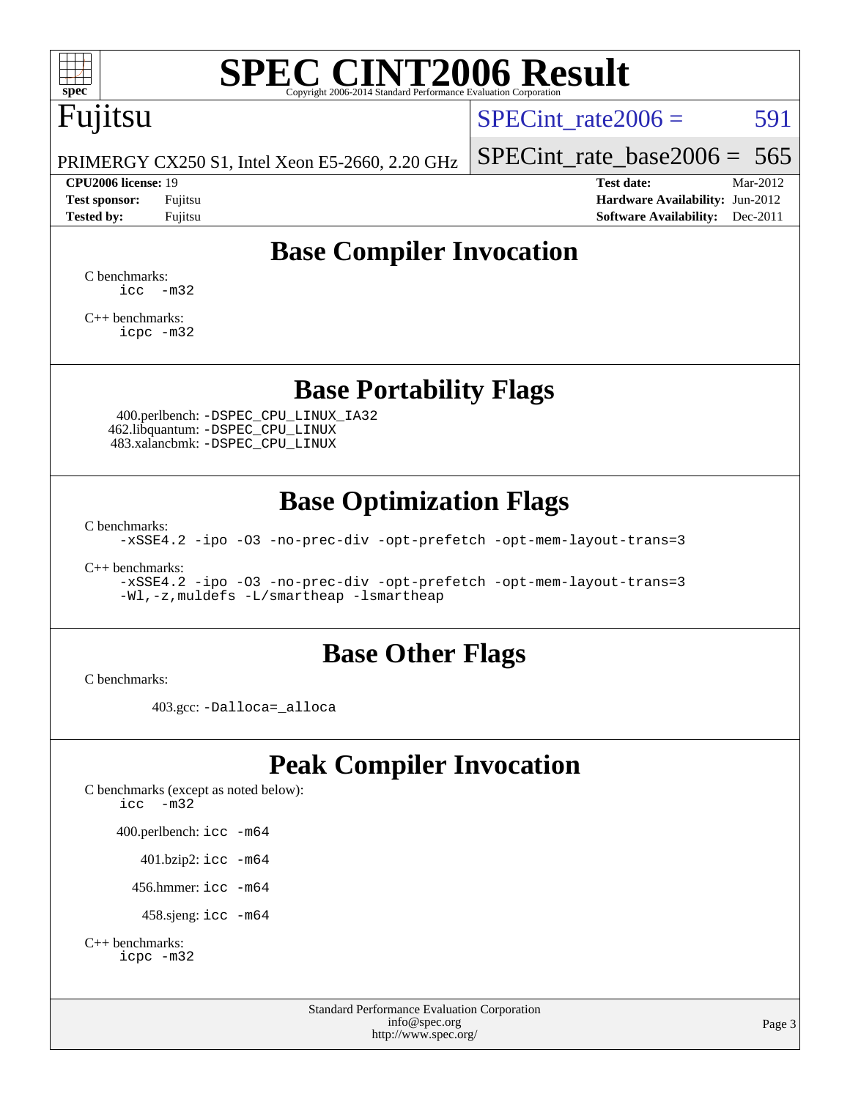

## Fujitsu

SPECint rate $2006 = 591$ 

[SPECint\\_rate\\_base2006 =](http://www.spec.org/auto/cpu2006/Docs/result-fields.html#SPECintratebase2006)  $565$ 

PRIMERGY CX250 S1, Intel Xeon E5-2660, 2.20 GHz

**[CPU2006 license:](http://www.spec.org/auto/cpu2006/Docs/result-fields.html#CPU2006license)** 19 **[Test date:](http://www.spec.org/auto/cpu2006/Docs/result-fields.html#Testdate)** Mar-2012 **[Test sponsor:](http://www.spec.org/auto/cpu2006/Docs/result-fields.html#Testsponsor)** Fujitsu **[Hardware Availability:](http://www.spec.org/auto/cpu2006/Docs/result-fields.html#HardwareAvailability)** Jun-2012 **[Tested by:](http://www.spec.org/auto/cpu2006/Docs/result-fields.html#Testedby)** Fujitsu **Fugital Example 2011 [Software Availability:](http://www.spec.org/auto/cpu2006/Docs/result-fields.html#SoftwareAvailability)** Dec-2011

#### **[Base Compiler Invocation](http://www.spec.org/auto/cpu2006/Docs/result-fields.html#BaseCompilerInvocation)**

[C benchmarks](http://www.spec.org/auto/cpu2006/Docs/result-fields.html#Cbenchmarks):  $\text{icc}$   $-\text{m32}$ 

[C++ benchmarks:](http://www.spec.org/auto/cpu2006/Docs/result-fields.html#CXXbenchmarks) [icpc -m32](http://www.spec.org/cpu2006/results/res2012q3/cpu2006-20120605-22827.flags.html#user_CXXbase_intel_icpc_4e5a5ef1a53fd332b3c49e69c3330699)

#### **[Base Portability Flags](http://www.spec.org/auto/cpu2006/Docs/result-fields.html#BasePortabilityFlags)**

 400.perlbench: [-DSPEC\\_CPU\\_LINUX\\_IA32](http://www.spec.org/cpu2006/results/res2012q3/cpu2006-20120605-22827.flags.html#b400.perlbench_baseCPORTABILITY_DSPEC_CPU_LINUX_IA32) 462.libquantum: [-DSPEC\\_CPU\\_LINUX](http://www.spec.org/cpu2006/results/res2012q3/cpu2006-20120605-22827.flags.html#b462.libquantum_baseCPORTABILITY_DSPEC_CPU_LINUX) 483.xalancbmk: [-DSPEC\\_CPU\\_LINUX](http://www.spec.org/cpu2006/results/res2012q3/cpu2006-20120605-22827.flags.html#b483.xalancbmk_baseCXXPORTABILITY_DSPEC_CPU_LINUX)

#### **[Base Optimization Flags](http://www.spec.org/auto/cpu2006/Docs/result-fields.html#BaseOptimizationFlags)**

[C benchmarks](http://www.spec.org/auto/cpu2006/Docs/result-fields.html#Cbenchmarks):

[-xSSE4.2](http://www.spec.org/cpu2006/results/res2012q3/cpu2006-20120605-22827.flags.html#user_CCbase_f-xSSE42_f91528193cf0b216347adb8b939d4107) [-ipo](http://www.spec.org/cpu2006/results/res2012q3/cpu2006-20120605-22827.flags.html#user_CCbase_f-ipo) [-O3](http://www.spec.org/cpu2006/results/res2012q3/cpu2006-20120605-22827.flags.html#user_CCbase_f-O3) [-no-prec-div](http://www.spec.org/cpu2006/results/res2012q3/cpu2006-20120605-22827.flags.html#user_CCbase_f-no-prec-div) [-opt-prefetch](http://www.spec.org/cpu2006/results/res2012q3/cpu2006-20120605-22827.flags.html#user_CCbase_f-opt-prefetch) [-opt-mem-layout-trans=3](http://www.spec.org/cpu2006/results/res2012q3/cpu2006-20120605-22827.flags.html#user_CCbase_f-opt-mem-layout-trans_a7b82ad4bd7abf52556d4961a2ae94d5)

[C++ benchmarks:](http://www.spec.org/auto/cpu2006/Docs/result-fields.html#CXXbenchmarks)

[-xSSE4.2](http://www.spec.org/cpu2006/results/res2012q3/cpu2006-20120605-22827.flags.html#user_CXXbase_f-xSSE42_f91528193cf0b216347adb8b939d4107) [-ipo](http://www.spec.org/cpu2006/results/res2012q3/cpu2006-20120605-22827.flags.html#user_CXXbase_f-ipo) [-O3](http://www.spec.org/cpu2006/results/res2012q3/cpu2006-20120605-22827.flags.html#user_CXXbase_f-O3) [-no-prec-div](http://www.spec.org/cpu2006/results/res2012q3/cpu2006-20120605-22827.flags.html#user_CXXbase_f-no-prec-div) [-opt-prefetch](http://www.spec.org/cpu2006/results/res2012q3/cpu2006-20120605-22827.flags.html#user_CXXbase_f-opt-prefetch) [-opt-mem-layout-trans=3](http://www.spec.org/cpu2006/results/res2012q3/cpu2006-20120605-22827.flags.html#user_CXXbase_f-opt-mem-layout-trans_a7b82ad4bd7abf52556d4961a2ae94d5) [-Wl,-z,muldefs](http://www.spec.org/cpu2006/results/res2012q3/cpu2006-20120605-22827.flags.html#user_CXXbase_link_force_multiple1_74079c344b956b9658436fd1b6dd3a8a) [-L/smartheap -lsmartheap](http://www.spec.org/cpu2006/results/res2012q3/cpu2006-20120605-22827.flags.html#user_CXXbase_SmartHeap_7c9e394a5779e1a7fec7c221e123830c)

#### **[Base Other Flags](http://www.spec.org/auto/cpu2006/Docs/result-fields.html#BaseOtherFlags)**

[C benchmarks](http://www.spec.org/auto/cpu2006/Docs/result-fields.html#Cbenchmarks):

403.gcc: [-Dalloca=\\_alloca](http://www.spec.org/cpu2006/results/res2012q3/cpu2006-20120605-22827.flags.html#b403.gcc_baseEXTRA_CFLAGS_Dalloca_be3056838c12de2578596ca5467af7f3)

#### **[Peak Compiler Invocation](http://www.spec.org/auto/cpu2006/Docs/result-fields.html#PeakCompilerInvocation)**

[C benchmarks \(except as noted below\)](http://www.spec.org/auto/cpu2006/Docs/result-fields.html#Cbenchmarksexceptasnotedbelow): [icc -m32](http://www.spec.org/cpu2006/results/res2012q3/cpu2006-20120605-22827.flags.html#user_CCpeak_intel_icc_5ff4a39e364c98233615fdd38438c6f2) 400.perlbench: [icc -m64](http://www.spec.org/cpu2006/results/res2012q3/cpu2006-20120605-22827.flags.html#user_peakCCLD400_perlbench_intel_icc_64bit_bda6cc9af1fdbb0edc3795bac97ada53) 401.bzip2: [icc -m64](http://www.spec.org/cpu2006/results/res2012q3/cpu2006-20120605-22827.flags.html#user_peakCCLD401_bzip2_intel_icc_64bit_bda6cc9af1fdbb0edc3795bac97ada53)

456.hmmer: [icc -m64](http://www.spec.org/cpu2006/results/res2012q3/cpu2006-20120605-22827.flags.html#user_peakCCLD456_hmmer_intel_icc_64bit_bda6cc9af1fdbb0edc3795bac97ada53)

458.sjeng: [icc -m64](http://www.spec.org/cpu2006/results/res2012q3/cpu2006-20120605-22827.flags.html#user_peakCCLD458_sjeng_intel_icc_64bit_bda6cc9af1fdbb0edc3795bac97ada53)

```
C++ benchmarks: 
icpc -m32
```
Standard Performance Evaluation Corporation [info@spec.org](mailto:info@spec.org) <http://www.spec.org/>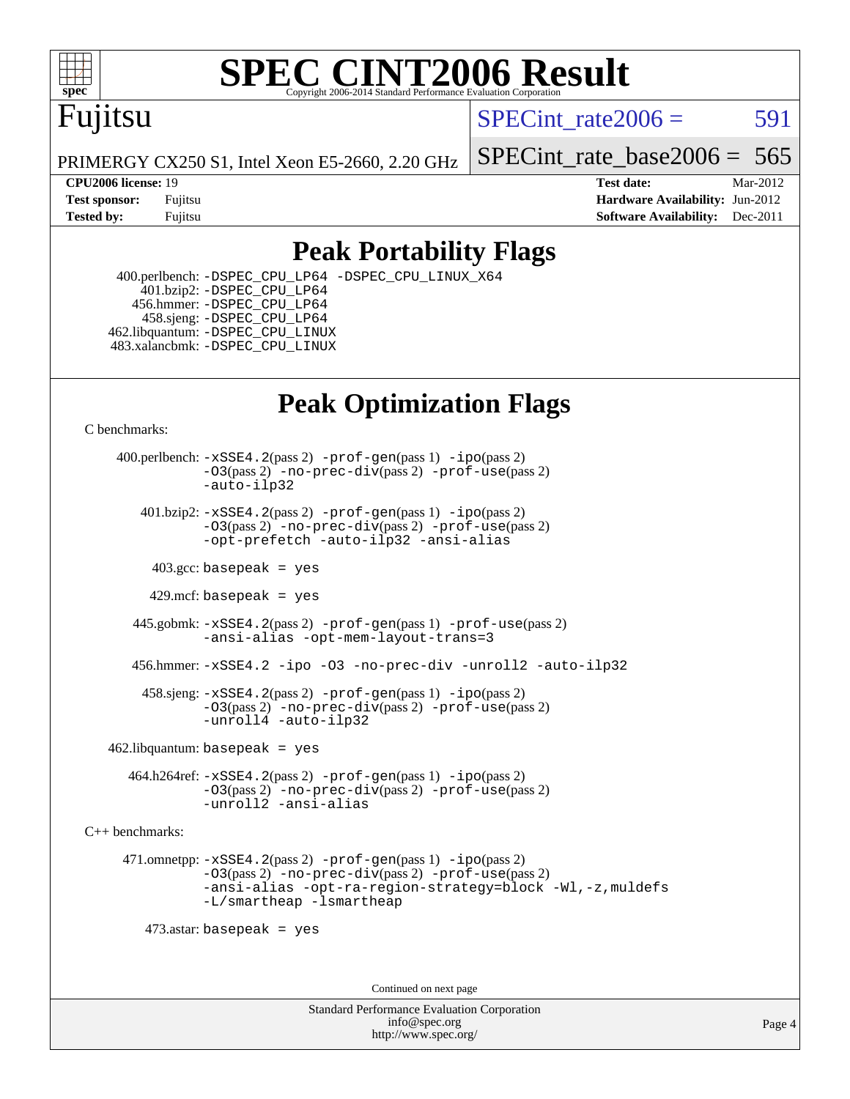

### Fujitsu

SPECint rate $2006 = 591$ 

PRIMERGY CX250 S1, Intel Xeon E5-2660, 2.20 GHz

**[CPU2006 license:](http://www.spec.org/auto/cpu2006/Docs/result-fields.html#CPU2006license)** 19 **[Test date:](http://www.spec.org/auto/cpu2006/Docs/result-fields.html#Testdate)** Mar-2012

SPECint rate base  $2006 = 565$ 

**[Test sponsor:](http://www.spec.org/auto/cpu2006/Docs/result-fields.html#Testsponsor)** Fujitsu **[Hardware Availability:](http://www.spec.org/auto/cpu2006/Docs/result-fields.html#HardwareAvailability)** Jun-2012 **[Tested by:](http://www.spec.org/auto/cpu2006/Docs/result-fields.html#Testedby)** Fujitsu **Fugital Example 2011 [Software Availability:](http://www.spec.org/auto/cpu2006/Docs/result-fields.html#SoftwareAvailability)** Dec-2011

#### **[Peak Portability Flags](http://www.spec.org/auto/cpu2006/Docs/result-fields.html#PeakPortabilityFlags)**

 400.perlbench: [-DSPEC\\_CPU\\_LP64](http://www.spec.org/cpu2006/results/res2012q3/cpu2006-20120605-22827.flags.html#b400.perlbench_peakCPORTABILITY_DSPEC_CPU_LP64) [-DSPEC\\_CPU\\_LINUX\\_X64](http://www.spec.org/cpu2006/results/res2012q3/cpu2006-20120605-22827.flags.html#b400.perlbench_peakCPORTABILITY_DSPEC_CPU_LINUX_X64) 401.bzip2: [-DSPEC\\_CPU\\_LP64](http://www.spec.org/cpu2006/results/res2012q3/cpu2006-20120605-22827.flags.html#suite_peakCPORTABILITY401_bzip2_DSPEC_CPU_LP64) 456.hmmer: [-DSPEC\\_CPU\\_LP64](http://www.spec.org/cpu2006/results/res2012q3/cpu2006-20120605-22827.flags.html#suite_peakCPORTABILITY456_hmmer_DSPEC_CPU_LP64) 458.sjeng: [-DSPEC\\_CPU\\_LP64](http://www.spec.org/cpu2006/results/res2012q3/cpu2006-20120605-22827.flags.html#suite_peakCPORTABILITY458_sjeng_DSPEC_CPU_LP64) 462.libquantum: [-DSPEC\\_CPU\\_LINUX](http://www.spec.org/cpu2006/results/res2012q3/cpu2006-20120605-22827.flags.html#b462.libquantum_peakCPORTABILITY_DSPEC_CPU_LINUX) 483.xalancbmk: [-DSPEC\\_CPU\\_LINUX](http://www.spec.org/cpu2006/results/res2012q3/cpu2006-20120605-22827.flags.html#b483.xalancbmk_peakCXXPORTABILITY_DSPEC_CPU_LINUX)

### **[Peak Optimization Flags](http://www.spec.org/auto/cpu2006/Docs/result-fields.html#PeakOptimizationFlags)**

[C benchmarks](http://www.spec.org/auto/cpu2006/Docs/result-fields.html#Cbenchmarks):

 400.perlbench: [-xSSE4.2](http://www.spec.org/cpu2006/results/res2012q3/cpu2006-20120605-22827.flags.html#user_peakPASS2_CFLAGSPASS2_LDCFLAGS400_perlbench_f-xSSE42_f91528193cf0b216347adb8b939d4107)(pass 2) [-prof-gen](http://www.spec.org/cpu2006/results/res2012q3/cpu2006-20120605-22827.flags.html#user_peakPASS1_CFLAGSPASS1_LDCFLAGS400_perlbench_prof_gen_e43856698f6ca7b7e442dfd80e94a8fc)(pass 1) [-ipo](http://www.spec.org/cpu2006/results/res2012q3/cpu2006-20120605-22827.flags.html#user_peakPASS2_CFLAGSPASS2_LDCFLAGS400_perlbench_f-ipo)(pass 2) [-O3](http://www.spec.org/cpu2006/results/res2012q3/cpu2006-20120605-22827.flags.html#user_peakPASS2_CFLAGSPASS2_LDCFLAGS400_perlbench_f-O3)(pass 2) [-no-prec-div](http://www.spec.org/cpu2006/results/res2012q3/cpu2006-20120605-22827.flags.html#user_peakPASS2_CFLAGSPASS2_LDCFLAGS400_perlbench_f-no-prec-div)(pass 2) [-prof-use](http://www.spec.org/cpu2006/results/res2012q3/cpu2006-20120605-22827.flags.html#user_peakPASS2_CFLAGSPASS2_LDCFLAGS400_perlbench_prof_use_bccf7792157ff70d64e32fe3e1250b55)(pass 2) [-auto-ilp32](http://www.spec.org/cpu2006/results/res2012q3/cpu2006-20120605-22827.flags.html#user_peakCOPTIMIZE400_perlbench_f-auto-ilp32)  $401.bzip2: -xSSE4.2(pass 2) -prof-qen(pass 1) -ipo(pass 2)$  $401.bzip2: -xSSE4.2(pass 2) -prof-qen(pass 1) -ipo(pass 2)$  $401.bzip2: -xSSE4.2(pass 2) -prof-qen(pass 1) -ipo(pass 2)$  $401.bzip2: -xSSE4.2(pass 2) -prof-qen(pass 1) -ipo(pass 2)$  $401.bzip2: -xSSE4.2(pass 2) -prof-qen(pass 1) -ipo(pass 2)$ [-O3](http://www.spec.org/cpu2006/results/res2012q3/cpu2006-20120605-22827.flags.html#user_peakPASS2_CFLAGSPASS2_LDCFLAGS401_bzip2_f-O3)(pass 2) [-no-prec-div](http://www.spec.org/cpu2006/results/res2012q3/cpu2006-20120605-22827.flags.html#user_peakPASS2_CFLAGSPASS2_LDCFLAGS401_bzip2_f-no-prec-div)(pass 2) [-prof-use](http://www.spec.org/cpu2006/results/res2012q3/cpu2006-20120605-22827.flags.html#user_peakPASS2_CFLAGSPASS2_LDCFLAGS401_bzip2_prof_use_bccf7792157ff70d64e32fe3e1250b55)(pass 2) [-opt-prefetch](http://www.spec.org/cpu2006/results/res2012q3/cpu2006-20120605-22827.flags.html#user_peakCOPTIMIZE401_bzip2_f-opt-prefetch) [-auto-ilp32](http://www.spec.org/cpu2006/results/res2012q3/cpu2006-20120605-22827.flags.html#user_peakCOPTIMIZE401_bzip2_f-auto-ilp32) [-ansi-alias](http://www.spec.org/cpu2006/results/res2012q3/cpu2006-20120605-22827.flags.html#user_peakCOPTIMIZE401_bzip2_f-ansi-alias)  $403.\text{sec: basepeak}$  = yes 429.mcf: basepeak = yes 445.gobmk: [-xSSE4.2](http://www.spec.org/cpu2006/results/res2012q3/cpu2006-20120605-22827.flags.html#user_peakPASS2_CFLAGSPASS2_LDCFLAGS445_gobmk_f-xSSE42_f91528193cf0b216347adb8b939d4107)(pass 2) [-prof-gen](http://www.spec.org/cpu2006/results/res2012q3/cpu2006-20120605-22827.flags.html#user_peakPASS1_CFLAGSPASS1_LDCFLAGS445_gobmk_prof_gen_e43856698f6ca7b7e442dfd80e94a8fc)(pass 1) [-prof-use](http://www.spec.org/cpu2006/results/res2012q3/cpu2006-20120605-22827.flags.html#user_peakPASS2_CFLAGSPASS2_LDCFLAGS445_gobmk_prof_use_bccf7792157ff70d64e32fe3e1250b55)(pass 2) [-ansi-alias](http://www.spec.org/cpu2006/results/res2012q3/cpu2006-20120605-22827.flags.html#user_peakCOPTIMIZE445_gobmk_f-ansi-alias) [-opt-mem-layout-trans=3](http://www.spec.org/cpu2006/results/res2012q3/cpu2006-20120605-22827.flags.html#user_peakCOPTIMIZE445_gobmk_f-opt-mem-layout-trans_a7b82ad4bd7abf52556d4961a2ae94d5) 456.hmmer: [-xSSE4.2](http://www.spec.org/cpu2006/results/res2012q3/cpu2006-20120605-22827.flags.html#user_peakCOPTIMIZE456_hmmer_f-xSSE42_f91528193cf0b216347adb8b939d4107) [-ipo](http://www.spec.org/cpu2006/results/res2012q3/cpu2006-20120605-22827.flags.html#user_peakCOPTIMIZE456_hmmer_f-ipo) [-O3](http://www.spec.org/cpu2006/results/res2012q3/cpu2006-20120605-22827.flags.html#user_peakCOPTIMIZE456_hmmer_f-O3) [-no-prec-div](http://www.spec.org/cpu2006/results/res2012q3/cpu2006-20120605-22827.flags.html#user_peakCOPTIMIZE456_hmmer_f-no-prec-div) [-unroll2](http://www.spec.org/cpu2006/results/res2012q3/cpu2006-20120605-22827.flags.html#user_peakCOPTIMIZE456_hmmer_f-unroll_784dae83bebfb236979b41d2422d7ec2) [-auto-ilp32](http://www.spec.org/cpu2006/results/res2012q3/cpu2006-20120605-22827.flags.html#user_peakCOPTIMIZE456_hmmer_f-auto-ilp32) 458.sjeng: [-xSSE4.2](http://www.spec.org/cpu2006/results/res2012q3/cpu2006-20120605-22827.flags.html#user_peakPASS2_CFLAGSPASS2_LDCFLAGS458_sjeng_f-xSSE42_f91528193cf0b216347adb8b939d4107)(pass 2) [-prof-gen](http://www.spec.org/cpu2006/results/res2012q3/cpu2006-20120605-22827.flags.html#user_peakPASS1_CFLAGSPASS1_LDCFLAGS458_sjeng_prof_gen_e43856698f6ca7b7e442dfd80e94a8fc)(pass 1) [-ipo](http://www.spec.org/cpu2006/results/res2012q3/cpu2006-20120605-22827.flags.html#user_peakPASS2_CFLAGSPASS2_LDCFLAGS458_sjeng_f-ipo)(pass 2) [-O3](http://www.spec.org/cpu2006/results/res2012q3/cpu2006-20120605-22827.flags.html#user_peakPASS2_CFLAGSPASS2_LDCFLAGS458_sjeng_f-O3)(pass 2) [-no-prec-div](http://www.spec.org/cpu2006/results/res2012q3/cpu2006-20120605-22827.flags.html#user_peakPASS2_CFLAGSPASS2_LDCFLAGS458_sjeng_f-no-prec-div)(pass 2) [-prof-use](http://www.spec.org/cpu2006/results/res2012q3/cpu2006-20120605-22827.flags.html#user_peakPASS2_CFLAGSPASS2_LDCFLAGS458_sjeng_prof_use_bccf7792157ff70d64e32fe3e1250b55)(pass 2) [-unroll4](http://www.spec.org/cpu2006/results/res2012q3/cpu2006-20120605-22827.flags.html#user_peakCOPTIMIZE458_sjeng_f-unroll_4e5e4ed65b7fd20bdcd365bec371b81f) [-auto-ilp32](http://www.spec.org/cpu2006/results/res2012q3/cpu2006-20120605-22827.flags.html#user_peakCOPTIMIZE458_sjeng_f-auto-ilp32)  $462$ .libquantum: basepeak = yes 464.h264ref: [-xSSE4.2](http://www.spec.org/cpu2006/results/res2012q3/cpu2006-20120605-22827.flags.html#user_peakPASS2_CFLAGSPASS2_LDCFLAGS464_h264ref_f-xSSE42_f91528193cf0b216347adb8b939d4107)(pass 2) [-prof-gen](http://www.spec.org/cpu2006/results/res2012q3/cpu2006-20120605-22827.flags.html#user_peakPASS1_CFLAGSPASS1_LDCFLAGS464_h264ref_prof_gen_e43856698f6ca7b7e442dfd80e94a8fc)(pass 1) [-ipo](http://www.spec.org/cpu2006/results/res2012q3/cpu2006-20120605-22827.flags.html#user_peakPASS2_CFLAGSPASS2_LDCFLAGS464_h264ref_f-ipo)(pass 2)

[-O3](http://www.spec.org/cpu2006/results/res2012q3/cpu2006-20120605-22827.flags.html#user_peakPASS2_CFLAGSPASS2_LDCFLAGS464_h264ref_f-O3)(pass 2) [-no-prec-div](http://www.spec.org/cpu2006/results/res2012q3/cpu2006-20120605-22827.flags.html#user_peakPASS2_CFLAGSPASS2_LDCFLAGS464_h264ref_f-no-prec-div)(pass 2) [-prof-use](http://www.spec.org/cpu2006/results/res2012q3/cpu2006-20120605-22827.flags.html#user_peakPASS2_CFLAGSPASS2_LDCFLAGS464_h264ref_prof_use_bccf7792157ff70d64e32fe3e1250b55)(pass 2) [-unroll2](http://www.spec.org/cpu2006/results/res2012q3/cpu2006-20120605-22827.flags.html#user_peakCOPTIMIZE464_h264ref_f-unroll_784dae83bebfb236979b41d2422d7ec2) [-ansi-alias](http://www.spec.org/cpu2006/results/res2012q3/cpu2006-20120605-22827.flags.html#user_peakCOPTIMIZE464_h264ref_f-ansi-alias)

[C++ benchmarks:](http://www.spec.org/auto/cpu2006/Docs/result-fields.html#CXXbenchmarks)

 471.omnetpp: [-xSSE4.2](http://www.spec.org/cpu2006/results/res2012q3/cpu2006-20120605-22827.flags.html#user_peakPASS2_CXXFLAGSPASS2_LDCXXFLAGS471_omnetpp_f-xSSE42_f91528193cf0b216347adb8b939d4107)(pass 2) [-prof-gen](http://www.spec.org/cpu2006/results/res2012q3/cpu2006-20120605-22827.flags.html#user_peakPASS1_CXXFLAGSPASS1_LDCXXFLAGS471_omnetpp_prof_gen_e43856698f6ca7b7e442dfd80e94a8fc)(pass 1) [-ipo](http://www.spec.org/cpu2006/results/res2012q3/cpu2006-20120605-22827.flags.html#user_peakPASS2_CXXFLAGSPASS2_LDCXXFLAGS471_omnetpp_f-ipo)(pass 2) [-O3](http://www.spec.org/cpu2006/results/res2012q3/cpu2006-20120605-22827.flags.html#user_peakPASS2_CXXFLAGSPASS2_LDCXXFLAGS471_omnetpp_f-O3)(pass 2) [-no-prec-div](http://www.spec.org/cpu2006/results/res2012q3/cpu2006-20120605-22827.flags.html#user_peakPASS2_CXXFLAGSPASS2_LDCXXFLAGS471_omnetpp_f-no-prec-div)(pass 2) [-prof-use](http://www.spec.org/cpu2006/results/res2012q3/cpu2006-20120605-22827.flags.html#user_peakPASS2_CXXFLAGSPASS2_LDCXXFLAGS471_omnetpp_prof_use_bccf7792157ff70d64e32fe3e1250b55)(pass 2) [-ansi-alias](http://www.spec.org/cpu2006/results/res2012q3/cpu2006-20120605-22827.flags.html#user_peakCXXOPTIMIZE471_omnetpp_f-ansi-alias) [-opt-ra-region-strategy=block](http://www.spec.org/cpu2006/results/res2012q3/cpu2006-20120605-22827.flags.html#user_peakCXXOPTIMIZE471_omnetpp_f-opt-ra-region-strategy_a0a37c372d03933b2a18d4af463c1f69) [-Wl,-z,muldefs](http://www.spec.org/cpu2006/results/res2012q3/cpu2006-20120605-22827.flags.html#user_peakEXTRA_LDFLAGS471_omnetpp_link_force_multiple1_74079c344b956b9658436fd1b6dd3a8a) [-L/smartheap -lsmartheap](http://www.spec.org/cpu2006/results/res2012q3/cpu2006-20120605-22827.flags.html#user_peakEXTRA_LIBS471_omnetpp_SmartHeap_7c9e394a5779e1a7fec7c221e123830c)

473.astar: basepeak = yes

Continued on next page

Standard Performance Evaluation Corporation [info@spec.org](mailto:info@spec.org) <http://www.spec.org/>